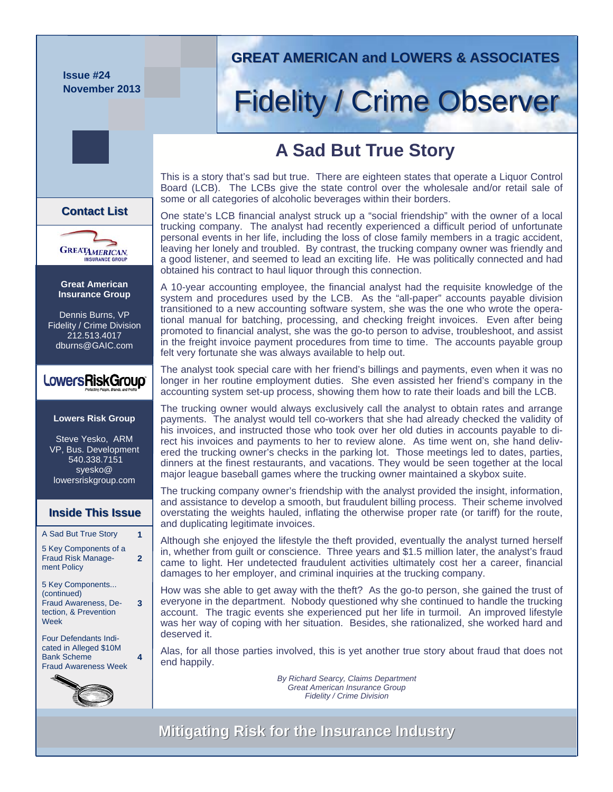**Issue #24 November 2013** 

**Great American Insurance Group**  Dennis Burns, VP Fidelity / Crime Division 212.513.4017 dburns@GAIC.com

**GREATAMERICAN** 

**Contact List Contact List**

**Lowers Risk Group** 

LowersRiskGroup<sup>®</sup>

Steve Yesko, ARM VP, Bus. Development 540.338.7151 syesko@ lowersriskgroup.com

A Sad But True Story **1**  5 Key Components of a Fraud Risk Management Policy

**Inside This Issue Inside This Issue**

5 Key Components...

Fraud Awareness, Detection, & Prevention

Four Defendants Indicated in Alleged \$10M Bank Scheme Fraud Awareness Week

(continued)

Week

**2** 

**3** 

**4** 

# **GREAT AMERICAN and LOWERS & ASSOCIATES GREAT AMERICAN and LOWERS & ASSOCIATES**

# Fidelity / Crime Observer

# **A Sad But True Story**

This is a story that's sad but true. There are eighteen states that operate a Liquor Control Board (LCB). The LCBs give the state control over the wholesale and/or retail sale of some or all categories of alcoholic beverages within their borders.

One state's LCB financial analyst struck up a "social friendship" with the owner of a local trucking company. The analyst had recently experienced a difficult period of unfortunate personal events in her life, including the loss of close family members in a tragic accident, leaving her lonely and troubled. By contrast, the trucking company owner was friendly and a good listener, and seemed to lead an exciting life. He was politically connected and had obtained his contract to haul liquor through this connection.

A 10-year accounting employee, the financial analyst had the requisite knowledge of the system and procedures used by the LCB. As the "all-paper" accounts payable division transitioned to a new accounting software system, she was the one who wrote the operational manual for batching, processing, and checking freight invoices. Even after being promoted to financial analyst, she was the go-to person to advise, troubleshoot, and assist in the freight invoice payment procedures from time to time. The accounts payable group felt very fortunate she was always available to help out.

The analyst took special care with her friend's billings and payments, even when it was no longer in her routine employment duties. She even assisted her friend's company in the accounting system set-up process, showing them how to rate their loads and bill the LCB.

The trucking owner would always exclusively call the analyst to obtain rates and arrange payments. The analyst would tell co-workers that she had already checked the validity of his invoices, and instructed those who took over her old duties in accounts payable to direct his invoices and payments to her to review alone. As time went on, she hand delivered the trucking owner's checks in the parking lot. Those meetings led to dates, parties, dinners at the finest restaurants, and vacations. They would be seen together at the local major league baseball games where the trucking owner maintained a skybox suite.

The trucking company owner's friendship with the analyst provided the insight, information, and assistance to develop a smooth, but fraudulent billing process. Their scheme involved overstating the weights hauled, inflating the otherwise proper rate (or tariff) for the route, and duplicating legitimate invoices.

Although she enjoyed the lifestyle the theft provided, eventually the analyst turned herself in, whether from guilt or conscience. Three years and \$1.5 million later, the analyst's fraud came to light. Her undetected fraudulent activities ultimately cost her a career, financial damages to her employer, and criminal inquiries at the trucking company.

How was she able to get away with the theft? As the go-to person, she gained the trust of everyone in the department. Nobody questioned why she continued to handle the trucking account. The tragic events she experienced put her life in turmoil. An improved lifestyle was her way of coping with her situation. Besides, she rationalized, she worked hard and deserved it.

Alas, for all those parties involved, this is yet another true story about fraud that does not end happily.

> *By Richard Searcy, Claims Department Great American Insurance Group Fidelity / Crime Division*

# **Mitigating Risk for the Insurance Industry Mitigating Risk for the Insurance Industry**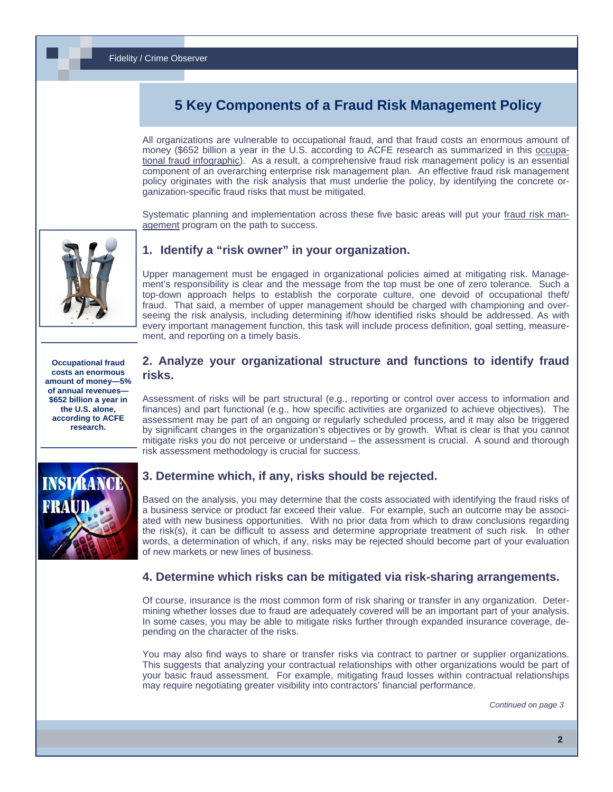# **5 Key Components of a Fraud Risk Management Policy**

All organizations are vulnerable to occupational fraud, and that fraud costs an enormous amount of money (\$652 billion a year in the U.S. according to ACFE research as summarized in this [occupa](http://www.lowersriskgroup.com/blog/2013/03/26/occupational-fraud-infographic/)[tional fraud infographic](http://www.lowersriskgroup.com/blog/2013/03/26/occupational-fraud-infographic/)). As a result, a comprehensive fraud risk management policy is an essential component of an overarching enterprise risk management plan. An effective fraud risk management policy originates with the risk analysis that must underlie the policy, by identifying the concrete organization-specific fraud risks that must be mitigated.

Systematic planning and implementation across these five basic areas will put your [fraud risk man](http://www.lowersriskgroup.com)[agemen](http://www.lowersriskgroup.com)t program on the path to success.



#### **1. Identify a "risk owner" in your organization.**

Upper management must be engaged in organizational policies aimed at mitigating risk. Management's responsibility is clear and the message from the top must be one of zero tolerance. Such a top-down approach helps to establish the corporate culture, one devoid of occupational theft/ fraud. That said, a member of upper management should be charged with championing and overseeing the risk analysis, including determining if/how identified risks should be addressed. As with every important management function, this task will include process definition, goal setting, measurement, and reporting on a timely basis.

**Occupational fraud costs an enormous amount of money—5% of annual revenues— \$652 billion a year in the U.S. alone, according to ACFE research.** 



#### **2. Analyze your organizational structure and functions to identify fraud risks.**

Assessment of risks will be part structural (e.g., reporting or control over access to information and finances) and part functional (e.g., how specific activities are organized to achieve objectives). The assessment may be part of an ongoing or regularly scheduled process, and it may also be triggered by significant changes in the organization's objectives or by growth. What is clear is that you cannot mitigate risks you do not perceive or understand – the assessment is crucial. A sound and thorough risk assessment methodology is crucial for success.

#### **3. Determine which, if any, risks should be rejected.**

Based on the analysis, you may determine that the costs associated with identifying the fraud risks of a business service or product far exceed their value. For example, such an outcome may be associated with new business opportunities. With no prior data from which to draw conclusions regarding the risk(s), it can be difficult to assess and determine appropriate treatment of such risk. In other words, a determination of which, if any, risks may be rejected should become part of your evaluation of new markets or new lines of business.

#### **4. Determine which risks can be mitigated via risk-sharing arrangements.**

Of course, insurance is the most common form of risk sharing or transfer in any organization. Determining whether losses due to fraud are adequately covered will be an important part of your analysis. In some cases, you may be able to mitigate risks further through expanded insurance coverage, depending on the character of the risks.

You may also find ways to share or transfer risks via contract to partner or supplier organizations. This suggests that analyzing your contractual relationships with other organizations would be part of your basic fraud assessment. For example, mitigating fraud losses within contractual relationships may require negotiating greater visibility into contractors' financial performance.

*Continued on page 3*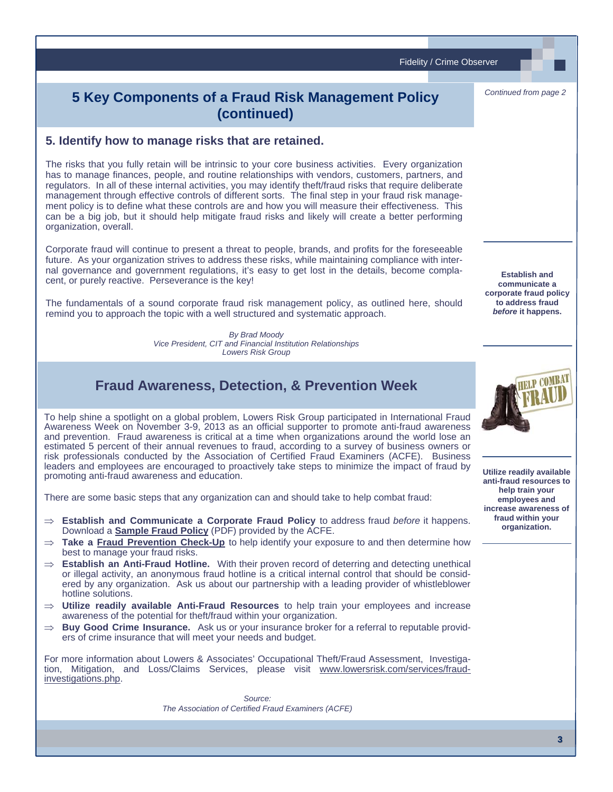Fidelity / Crime Observer

# **5 Key Components of a Fraud Risk Management Policy (continued)**

#### **5. Identify how to manage risks that are retained.**

The risks that you fully retain will be intrinsic to your core business activities. Every organization has to manage finances, people, and routine relationships with vendors, customers, partners, and regulators. In all of these internal activities, you may identify theft/fraud risks that require deliberate management through effective controls of different sorts. The final step in your fraud risk management policy is to define what these controls are and how you will measure their effectiveness. This can be a big job, but it should help mitigate fraud risks and likely will create a better performing organization, overall.

Corporate fraud will continue to present a threat to people, brands, and profits for the foreseeable future. As your organization strives to address these risks, while maintaining compliance with internal governance and government regulations, it's easy to get lost in the details, become complacent, or purely reactive. Perseverance is the key!

The fundamentals of a sound corporate fraud risk management policy, as outlined here, should remind you to approach the topic with a well structured and systematic approach.

> *By Brad Moody [Vice President, CIT and Financial Institution Relationships](http://www.lowersriskgroup.com/news/index.php?id=11) Lowers Risk Group*

### **Fraud Awareness, Detection, & Prevention Week**

To help shine a spotlight on a global problem, Lowers Risk Group participated in International Fraud Awareness Week on November 3-9, 2013 as an official supporter to promote anti-fraud awareness and prevention. Fraud awareness is critical at a time when organizations around the world lose an estimated 5 percent of their annual revenues to fraud, according to a survey of business owners or risk professionals conducted by the Association of Certified Fraud Examiners (ACFE). Business leaders and employees are encouraged to proactively take steps to minimize the impact of fraud by promoting anti-fraud awareness and education.

There are some basic steps that any organization can and should take to help combat fraud:

- **Establish and Communicate a Corporate Fraud Policy** to address fraud *before* it happens. Download a **Sample Fraud Policy** (PDF) provided by the ACFE.
- $\Rightarrow$  **Take a [Fraud Prevention Check-Up](http://www.acfe.com/fraud-prevention-checkup.aspx)** to help identify your exposure to and then determine how best to manage your fraud risks.
- $\Rightarrow$  **Establish an Anti-Fraud Hotline.** With their proven record of deterring and detecting unethical or illegal activity, an anonymous fraud hotline is a critical internal control that should be considered by any organization. Ask us about our partnership with a leading provider of whistleblower hotline solutions.
- $\Rightarrow$  Utilize readily available Anti-Fraud Resources to help train your employees and increase awareness of the potential for theft/fraud within your organization.
- $\Rightarrow$  **Buy Good Crime Insurance.** Ask us or your insurance broker for a referral to reputable providers of crime insurance that will meet your needs and budget.

For more information about Lowers & Associates' Occupational Theft/Fraud Assessment, Investigation, Mitigation, and Loss/Claims Services, please visit [www.lowersrisk.com/services/fraud](http://www.lowersrisk.com/services/fraud-investigations.php)[investigations.php](http://www.lowersrisk.com/services/fraud-investigations.php).

> *Source: The Association of Certified Fraud Examiners (ACFE)*

**Establish and communicate a corporate fraud policy to address fraud**  *before* **it happens.**

*Continued from page 2*



**Utilize readily available anti-fraud resources to help train your employees and increase awareness of fraud within your organization.**